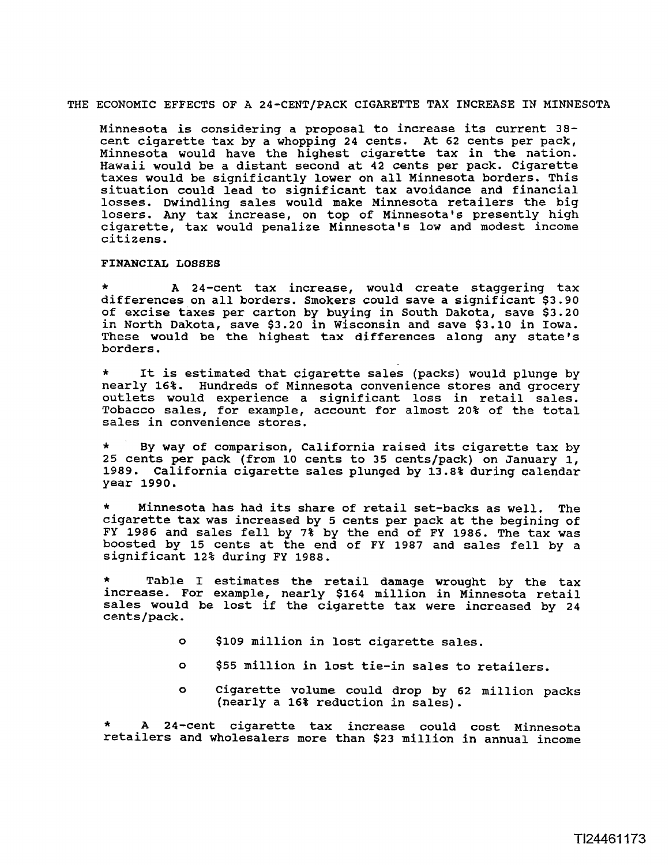## THE ECONOMIC EFFECTS OF A 24-CENT/PACK CIGARETTE TAX INCREASE IN MINNESOTA

Minnesota is considering a proposal to increase its current **38**  cent cigarette tax by a whopping 24 cents. At 62 cents per pack, Minnesota would have the highest cigarette tax in the nation. Hawaii would be a distant second at 42 cents per pack. Cigarette taxes would be significantly lower on all Minnesota borders. This situation could lead to significant tax avoidance and financial losses. Dwindling sales would make Minnesota retailers the big losers. Any tax increase, on top of Minnesota's presently high cigarette, tax would penalize Minnesota's low and modest income citizens.

## **FINANCIAI( LOSSES**

A 24-cent tax increase, would create staggering tax differences on all borders. Smokers could save a significant \$3.90 of excise taxes per carton by buying in South Dakota, save \$3.20 in North Dakota, save \$3.20 in Wisconsin and save \$3.10 in Iowa. These would be the highest tax differences along any state's borders.

It is estimated that cigarette sales (packs) would plunge by nearly 16%. Hundreds of Minnesota convenience stores and grocery outlets would experience a significant loss in retail sales. Tobacco sales, for example, account for almost 20% of the total sales in convenience stores.

\* By way of comparison, California raised its cigarette tax by 25 cents per pack (from lo cents to 35 cents/pack) on January 1, **1989.** California cigarette sales plunged by **13.8%** during calendar year 1990.

Minnesota has had its share of retail set-backs as well. The cigarette tax was increased by **5** cents per pack at the begining of FY 1986 and sales fell by **7%** by the end of FY 1986. The tax was boosted by 15 cents at the end of FY **1987** and sales fell by a significant 12% during FY 1988.

Table I estimates the retail damage wrought by the tax increase. For example, nearly \$164 million in Minnesota retail sales would be lost if the cigarette tax were increased by 24 cents/pack.

- o \$109 million in lost cigarette sales.
- o \$55 million in lost tie-in sales to retailers.
- o Cigarette volume could drop by 62 million packs (nearly a 16% reduction in sales).

A 24-cent cigarette tax increase could cost Minnesota retailers and wholesalers more than \$23 million in annual income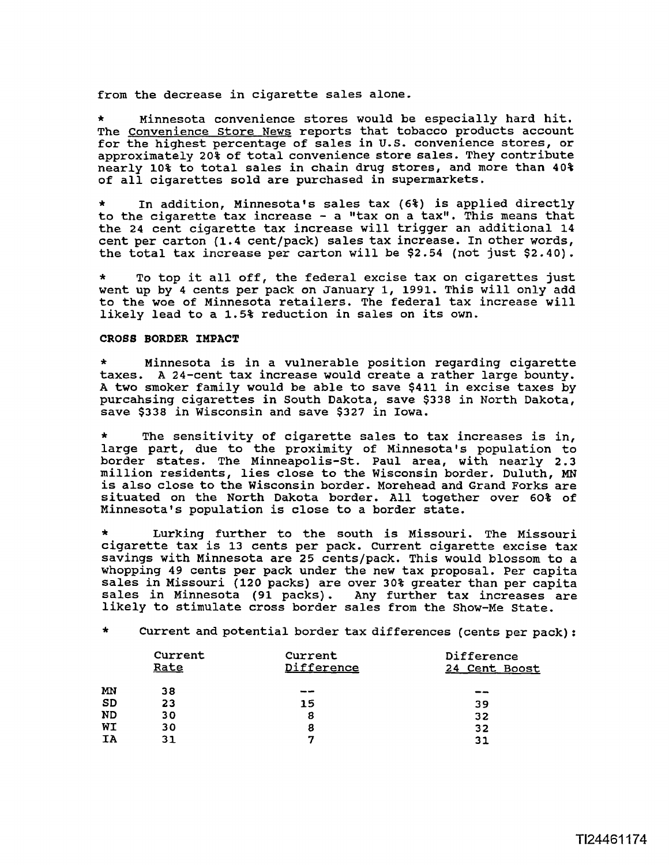from the decrease in cigarette sales alone.

Minnesota convenience stores would be especially hard hit. The Convenience Store News reports that tobacco products account for the highest percentage of sales in **U.S.** convenience stores, or approximately **20%** of total convenience store sales. They contribute nearly 10% to total sales in chain drug stores, and more than 409 of all cigarettes sold are purchased in supermarkets.

\* In addition, Minnesota's sales tax (6%) is applied directly to the cigarette tax increase - a "tax on a tax". This means that the 24 cent cigarette tax increase will trigger an additional 14 cent per carton (1.4 cent/pack) sales tax increase. In other words, the total tax increase per carton will be \$2.54 (not just \$2.40).

To top it all off, the federal excise tax on cigarettes just went up by 4 cents per pack on January 1, 1991. This will only add to the woe of Minnesota retailers. The federal tax increase will likely lead to a 1.5% reduction in sales on its own.

## **CROSS BORDER IMPACT**

\* Minnesota is in a vulnerable position regarding cigarette taxes. A 24-cent tax increase would create a rather large bounty. A two smoker family would be able to save \$411 in excise taxes by purcahsing cigarettes in South Dakota, save \$338 in North Dakota, save \$338 in Wisconsin and save **\$327** in Iowa.

The sensitivity of cigarette sales to tax increases is in, large part, due to the proximity of Minnesota's population to border states. The Minneapolis-St. Paul area, with nearly 2.3 million residents, lies close to the Wisconsin border, Duluth, **MN**  is also close to the Wisconsin border. Morehead and Grand Forks are situated on the North Dakota border. All together over 60% of Minnesota's population is close to a border state.

Lurking further to the south is Missouri. The Missouri cigarette tax is **13** cents per pack. current cigarette excise tax savings with Minnesota are 25 cents/pack. This would blossom to a whopping 49 cents per pack under the new tax proposal. Per capita sales in Missouri (120 packs) are over 30% greater than per capita<br>sales in Minnesota (91 packs). Any further tax increases are sales in Minnesota (91 packs). likely to stimulate cross border sales from the Show-Me State.

\* Current and potential border tax differences (cents per pack) :

|           | Current<br>Rate | Current<br>Difference | Difference<br>24 Cent Boost |
|-----------|-----------------|-----------------------|-----------------------------|
| MN        | 38              | --                    | $-$                         |
| <b>SD</b> | 23              | 15                    | 39                          |
| <b>ND</b> | 30              | 8                     | 32                          |
| WI        | 30              | 8                     | 32                          |
| ΙA        | 31              |                       | 31                          |